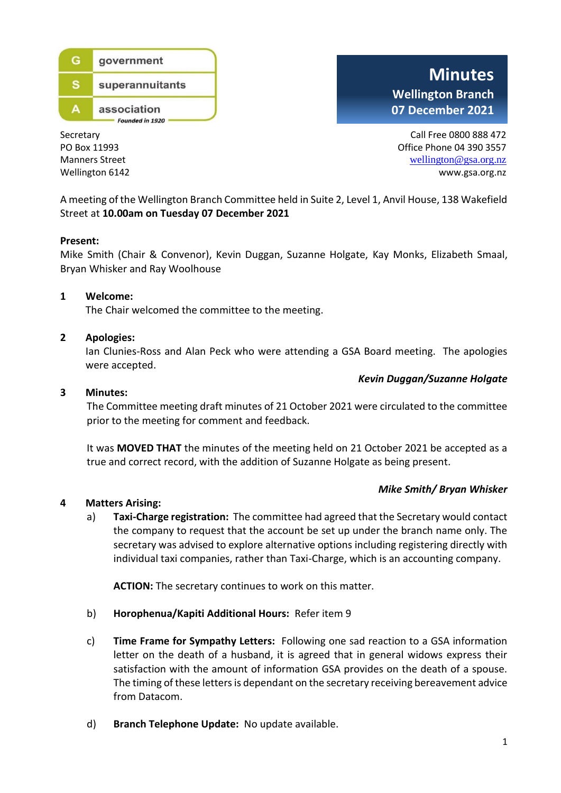

**Minutes Wellington Branch 07 December 2021**

Secretary Call Free 0800 888 472 PO Box 11993 **PO Box 11993 Office Phone 04 390 3557** Manners Street wellington @gsa.org.nz Wellington 6142 www.gsa.org.nz

A meeting of the Wellington Branch Committee held in Suite 2, Level 1, Anvil House, 138 Wakefield Street at **10.00am on Tuesday 07 December 2021**

#### **Present:**

Mike Smith (Chair & Convenor), Kevin Duggan, Suzanne Holgate, Kay Monks, Elizabeth Smaal, Bryan Whisker and Ray Woolhouse

#### **1 Welcome:**

The Chair welcomed the committee to the meeting.

#### **2 Apologies:**

Ian Clunies-Ross and Alan Peck who were attending a GSA Board meeting. The apologies were accepted.

#### *Kevin Duggan/Suzanne Holgate*

#### **3 Minutes:**

The Committee meeting draft minutes of 21 October 2021 were circulated to the committee prior to the meeting for comment and feedback.

It was **MOVED THAT** the minutes of the meeting held on 21 October 2021 be accepted as a true and correct record, with the addition of Suzanne Holgate as being present.

#### *Mike Smith/ Bryan Whisker*

# **4 Matters Arising:**

a) **Taxi-Charge registration:** The committee had agreed that the Secretary would contact the company to request that the account be set up under the branch name only. The secretary was advised to explore alternative options including registering directly with individual taxi companies, rather than Taxi-Charge, which is an accounting company.

**ACTION:** The secretary continues to work on this matter.

- b) **Horophenua/Kapiti Additional Hours:** Refer item 9
- c) **Time Frame for Sympathy Letters:** Following one sad reaction to a GSA information letter on the death of a husband, it is agreed that in general widows express their satisfaction with the amount of information GSA provides on the death of a spouse. The timing of these letters is dependant on the secretary receiving bereavement advice from Datacom.
- d) **Branch Telephone Update:** No update available.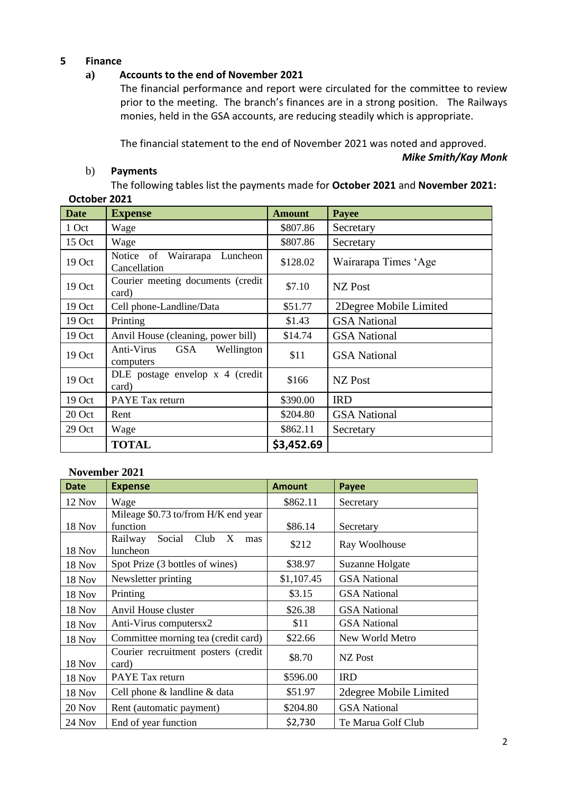## **5 Finance**

# **a) Accounts to the end of November 2021**

The financial performance and report were circulated for the committee to review prior to the meeting. The branch's finances are in a strong position. The Railways monies, held in the GSA accounts, are reducing steadily which is appropriate.

The financial statement to the end of November 2021 was noted and approved.

*Mike Smith/Kay Monk*

# b) **Payments**

The following tables list the payments made for **October 2021** and **November 2021: October 2021**

| <b>Date</b> | <b>Expense</b>                                  | <b>Amount</b> | <b>Payee</b>           |
|-------------|-------------------------------------------------|---------------|------------------------|
| 1 Oct       | Wage                                            | \$807.86      | Secretary              |
| 15 Oct      | Wage                                            | \$807.86      | Secretary              |
| 19 Oct      | Notice of Wairarapa<br>Luncheon<br>Cancellation | \$128.02      | Wairarapa Times 'Age   |
| 19 Oct      | Courier meeting documents (credit<br>card)      | \$7.10        | NZ Post                |
| 19 Oct      | Cell phone-Landline/Data                        | \$51.77       | 2Degree Mobile Limited |
| 19 Oct      | Printing                                        | \$1.43        | <b>GSA National</b>    |
| 19 Oct      | Anvil House (cleaning, power bill)              | \$14.74       | <b>GSA National</b>    |
| 19 Oct      | Anti-Virus GSA<br>Wellington<br>computers       | \$11          | <b>GSA</b> National    |
| 19 Oct      | DLE postage envelop x 4 (credit<br>card)        | \$166         | <b>NZ</b> Post         |
| 19 Oct      | PAYE Tax return                                 | \$390.00      | <b>IRD</b>             |
| 20 Oct      | Rent                                            | \$204.80      | <b>GSA National</b>    |
| 29 Oct      | Wage                                            | \$862.11      | Secretary              |
|             | <b>TOTAL</b>                                    | \$3,452.69    |                        |

# **November 2021**

| <b>Date</b>   | <b>Expense</b>                                    | <b>Amount</b> | Payee                  |  |
|---------------|---------------------------------------------------|---------------|------------------------|--|
| 12 Nov        | Wage                                              | \$862.11      | Secretary              |  |
| <b>18 Nov</b> | Mileage \$0.73 to/from H/K end year<br>function   | \$86.14       | Secretary              |  |
| <b>18 Nov</b> | Railway<br>Social<br>Club<br>X<br>mas<br>luncheon | \$212         | Ray Woolhouse          |  |
| <b>18 Nov</b> | Spot Prize (3 bottles of wines)                   | \$38.97       | Suzanne Holgate        |  |
| 18 Nov        | Newsletter printing                               | \$1,107.45    | <b>GSA</b> National    |  |
| 18 Nov        | Printing                                          | \$3.15        | <b>GSA</b> National    |  |
| <b>18 Nov</b> | Anvil House cluster                               | \$26.38       | <b>GSA</b> National    |  |
| 18 Nov        | Anti-Virus computersx2                            | \$11          | <b>GSA</b> National    |  |
| 18 Nov        | Committee morning tea (credit card)               | \$22.66       | New World Metro        |  |
| <b>18 Nov</b> | Courier recruitment posters (credit<br>card)      | \$8.70        | NZ Post                |  |
| 18 Nov        | <b>PAYE</b> Tax return                            | \$596.00      | <b>IRD</b>             |  |
| 18 Nov        | Cell phone & landline & data                      | \$51.97       | 2degree Mobile Limited |  |
| 20 Nov        | Rent (automatic payment)                          | \$204.80      | <b>GSA</b> National    |  |
| $24$ Nov      | End of year function                              | \$2,730       | Te Marua Golf Club     |  |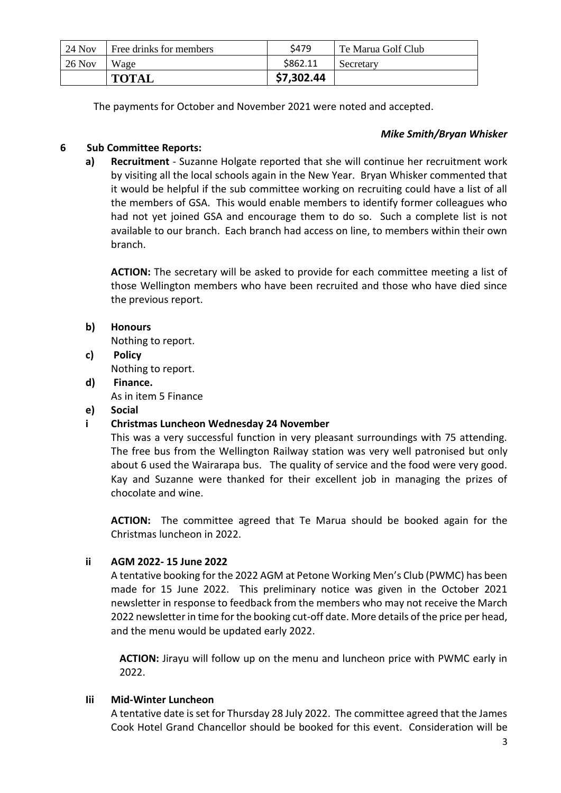| 24 Nov   | Free drinks for members | S479       | Te Marua Golf Club |
|----------|-------------------------|------------|--------------------|
| $26$ Nov | Wage                    | \$862.11   | Secretary          |
|          | TOTAL                   | \$7,302.44 |                    |

The payments for October and November 2021 were noted and accepted.

# *Mike Smith/Bryan Whisker*

# **6 Sub Committee Reports:**

**a) Recruitment** - Suzanne Holgate reported that she will continue her recruitment work by visiting all the local schools again in the New Year. Bryan Whisker commented that it would be helpful if the sub committee working on recruiting could have a list of all the members of GSA. This would enable members to identify former colleagues who had not yet joined GSA and encourage them to do so. Such a complete list is not available to our branch. Each branch had access on line, to members within their own branch.

**ACTION:** The secretary will be asked to provide for each committee meeting a list of those Wellington members who have been recruited and those who have died since the previous report.

# **b) Honours**

Nothing to report.

- **c) Policy** Nothing to report.
- **d) Finance.**  As in item 5 Finance

# **e) Social**

# **i Christmas Luncheon Wednesday 24 November**

This was a very successful function in very pleasant surroundings with 75 attending. The free bus from the Wellington Railway station was very well patronised but only about 6 used the Wairarapa bus. The quality of service and the food were very good. Kay and Suzanne were thanked for their excellent job in managing the prizes of chocolate and wine.

**ACTION:** The committee agreed that Te Marua should be booked again for the Christmas luncheon in 2022.

# **ii AGM 2022- 15 June 2022**

A tentative booking for the 2022 AGM at Petone Working Men's Club (PWMC) has been made for 15 June 2022. This preliminary notice was given in the October 2021 newsletter in response to feedback from the members who may not receive the March 2022 newsletter in time for the booking cut-off date. More details of the price per head, and the menu would be updated early 2022.

**ACTION:** Jirayu will follow up on the menu and luncheon price with PWMC early in 2022.

# **Iii Mid-Winter Luncheon**

A tentative date is set for Thursday 28 July 2022. The committee agreed that the James Cook Hotel Grand Chancellor should be booked for this event. Consideration will be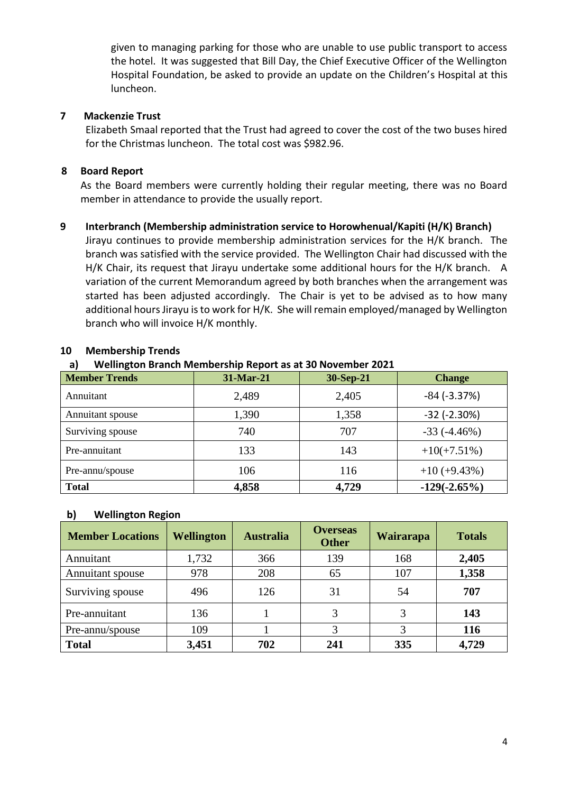given to managing parking for those who are unable to use public transport to access the hotel. It was suggested that Bill Day, the Chief Executive Officer of the Wellington Hospital Foundation, be asked to provide an update on the Children's Hospital at this luncheon.

## **7 Mackenzie Trust**

Elizabeth Smaal reported that the Trust had agreed to cover the cost of the two buses hired for the Christmas luncheon. The total cost was \$982.96.

## **8 Board Report**

As the Board members were currently holding their regular meeting, there was no Board member in attendance to provide the usually report.

#### **9 Interbranch (Membership administration service to Horowhenual/Kapiti (H/K) Branch)**

Jirayu continues to provide membership administration services for the H/K branch. The branch was satisfied with the service provided. The Wellington Chair had discussed with the H/K Chair, its request that Jirayu undertake some additional hours for the H/K branch. A variation of the current Memorandum agreed by both branches when the arrangement was started has been adjusted accordingly. The Chair is yet to be advised as to how many additional hours Jirayu is to work for H/K. She will remain employed/managed by Wellington branch who will invoice H/K monthly.

| <b>Member Trends</b> | 31-Mar-21 | 30-Sep-21 | <b>Change</b>       |
|----------------------|-----------|-----------|---------------------|
| Annuitant            | 2,489     | 2,405     | $-84$ ( $-3.37%$ )  |
| Annuitant spouse     | 1,390     | 1,358     | $-32$ ( $-2.30\%$ ) |
| Surviving spouse     | 740       | 707       | $-33(-4.46%)$       |
| Pre-annuitant        | 133       | 143       | $+10(+7.51\%)$      |
| Pre-annu/spouse      | 106       | 116       | $+10 (+9.43\%)$     |
| <b>Total</b>         | 4,858     | 4,729     | $-129(-2.65%)$      |

#### **10 Membership Trends**

#### **a) Wellington Branch Membership Report as at 30 November 2021**

#### **b) Wellington Region**

| <b>Member Locations</b> | <b>Wellington</b> | <b>Australia</b> | <b>Overseas</b><br><b>Other</b> | Wairarapa | <b>Totals</b> |
|-------------------------|-------------------|------------------|---------------------------------|-----------|---------------|
| Annuitant               | 1,732             | 366              | 139                             | 168       | 2,405         |
| Annuitant spouse        | 978               | 208              | 65                              | 107       | 1,358         |
| Surviving spouse        | 496               | 126              | 31                              | 54        | 707           |
| Pre-annuitant           | 136               |                  | 3                               |           | 143           |
| Pre-annu/spouse         | 109               |                  |                                 |           | 116           |
| <b>Total</b>            | 3,451             | 702              | 241                             | 335       | 4,729         |